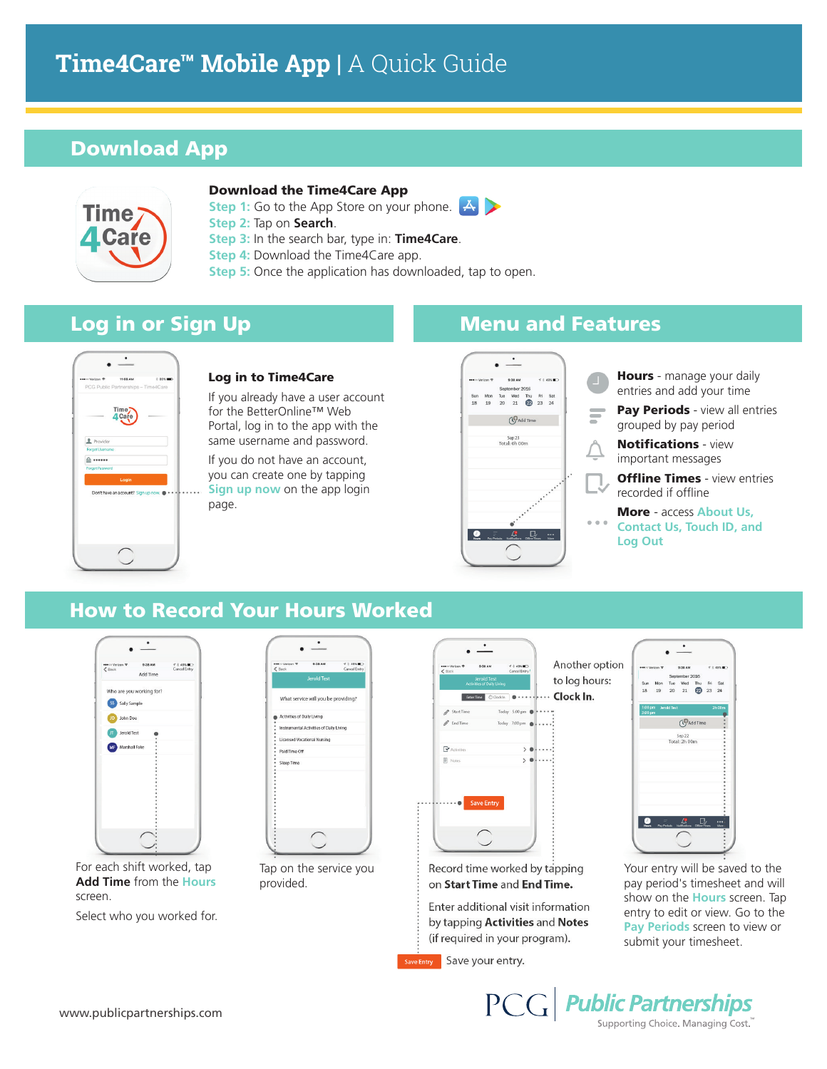# **Time4Care™ Mobile App |** A Quick Guide

## Download App



#### Download the Time4Care App

**Step 1:** Go to the App Store on your phone.

- **Step 2:** Tap on **Search**.
- **Step 3:** In the search bar, type in: **Time4Care**.
- **Step 4: Download the Time4Care app.**
- **Step 5:** Once the application has downloaded, tap to open.



#### Log in to Time4Care

If you already have a user account for the BetterOnline™ Web Portal, log in to the app with the same username and password.

If you do not have an account, you can create one by tapping **Sign up now on the app login** page.

|   | ●● to Verizon ?                        | 9:38 AM                 |  | 4.8498 |
|---|----------------------------------------|-------------------------|--|--------|
|   |                                        | September 2016          |  |        |
|   | Sun Mon Tue Wed Thu Fri Sat            |                         |  |        |
|   | 18    19    20    21    20    23    24 |                         |  |        |
|   |                                        | (Cadd Time              |  |        |
|   |                                        | Sep 23<br>Total: 0h 00m |  |        |
|   |                                        |                         |  |        |
| p |                                        |                         |  |        |

## Log in or Sign Up **Menu** Menu and Features

- Hours manage your daily entries and add your time Pay Periods - view all entries
- grouped by pay period
- Notifications view important messages
- **Offline Times** view entries recorded if offline
- More access **About Us, Contact Us, Touch ID, and Log Out**

### How to Record Your Hours Worked



For each shift worked, tap **Add Time** from the **Hours** screen.

Select who you worked for.



Tap on the service you provided.

| ***** Verizon ?<br>$8$   | 9:38 AM<br><b>Jerold Test</b><br><b>Activities of Daily Living</b> | $43.498$ m <sup>2</sup><br>Cancel Entry! | Anoth<br>to log |
|--------------------------|--------------------------------------------------------------------|------------------------------------------|-----------------|
|                          | C Clock In<br>Enter Time                                           |                                          | Clock           |
| Start Time<br>Ø          |                                                                    | Today 5:00 pm                            |                 |
| End Time<br>$\mathscr O$ |                                                                    | Today 7:00 pm                            |                 |
| $\mathbf F$ Activities   |                                                                    |                                          |                 |
| Notes                    |                                                                    | b                                        |                 |
|                          |                                                                    |                                          |                 |
|                          | <b>Save Entry</b>                                                  |                                          |                 |
|                          |                                                                    |                                          |                 |
|                          |                                                                    |                                          |                 |

Record time worked by tapping on Start Time and End Time.

Enter additional visit information by tapping Activities and Notes (if required in your program).

Save Entry Save your entry.



hours:

In.

Your entry will be saved to the pay period's timesheet and will show on the **Hours** screen. Tap entry to edit or view. Go to the **Pay Periods** screen to view or submit your timesheet.

PCG Public Partnerships Supporting Choice. Managing Cost.<sup>"</sup>